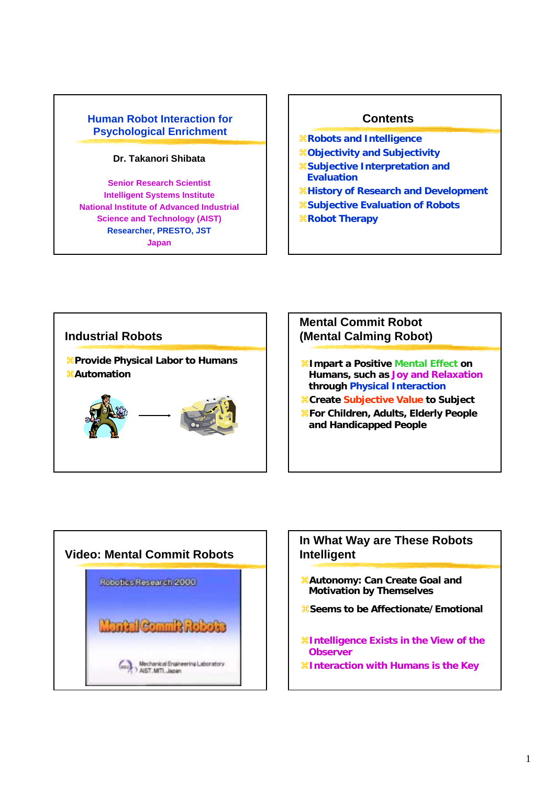#### **Human Robot Interaction for Psychological Enrichment**

#### **Dr. Takanori Shibata**

**Senior Research Scientist Intelligent Systems Institute National Institute of Advanced Industrial Science and Technology (AIST) Researcher, PRESTO, JST Japan**

#### **Contents**

- a**Robots and Intelligence**
- a**Objectivity and Subjectivity**
- a**Subjective Interpretation and Evaluation**
- a**History of Research and Development**
- a**Subjective Evaluation of Robots**
- a**Robot Therapy**



#### **Mental Commit Robot (Mental Calming Robot)**

- a**Impart a Positive Mental Effect on Humans, such as Joy and Relaxation through Physical Interaction**
- a**Create Subjective Value to Subject** a**For Children, Adults, Elderly People and Handicapped People**



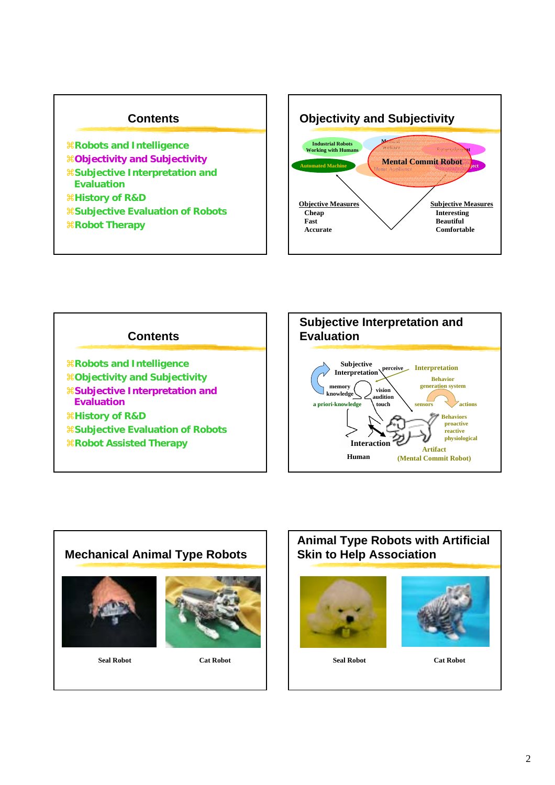



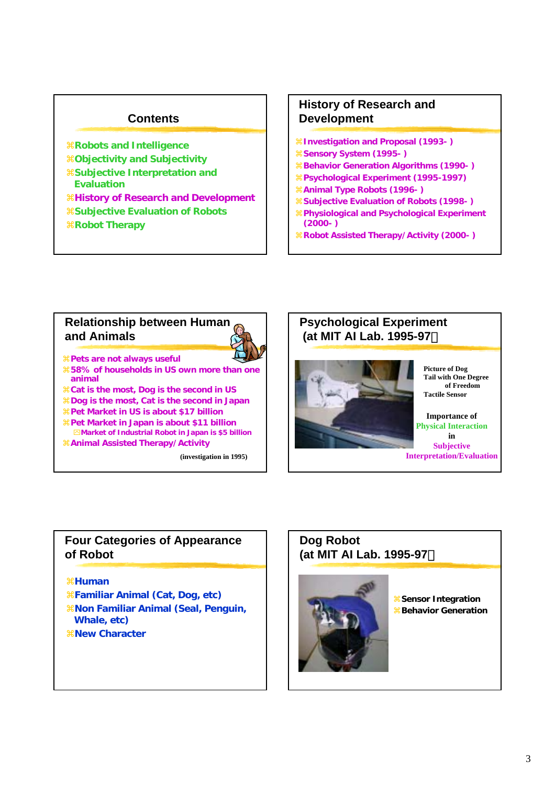#### **Contents**

- a**Robots and Intelligence**
- a**Objectivity and Subjectivity**
- a**Subjective Interpretation and Evaluation**
- a**History of Research and Development**
- a**Subjective Evaluation of Robots**
- a**Robot Therapy**

#### **History of Research and Development**

- a**Investigation and Proposal (1993- )**
- a**Sensory System (1995- )**
- a**Behavior Generation Algorithms (1990- )**
- a**Psychological Experiment (1995-1997)**
- a**Animal Type Robots (1996- )**
- a**Subjective Evaluation of Robots (1998- )**
- a**Physiological and Psychological Experiment (2000- )**
- a**Robot Assisted Therapy/Activity (2000- )**

#### **Relationship between Human and Animals**



a**Pets are not always useful**

a**58% of households in US own more than one animal**

a**Cat is the most, Dog is the second in US**

- a**Dog is the most, Cat is the second in Japan** a**Pet Market in US is about \$17 billion**
- 

a**Pet Market in Japan is about \$11 billion** `**Market of Industrial Robot in Japan is \$5 billion** a**Animal Assisted Therapy/Activity**

**(investigation in 1995)**

#### **Psychological Experiment (at MIT AI Lab. 1995-97**)



**Picture of Dog Tail with One Degree of Freedom Tactile Sensor**

**Importance of Physical Interaction in Subjective Interpretation/Evaluation**

#### **Four Categories of Appearance of Robot**

#### a**Human**

- a**Familiar Animal (Cat, Dog, etc)**
- a**Non Familiar Animal (Seal, Penguin, Whale, etc)**
- a**New Character**

#### **Dog Robot (at MIT AI Lab. 1995-97**)



a**Sensor Integration** a**Behavior Generation**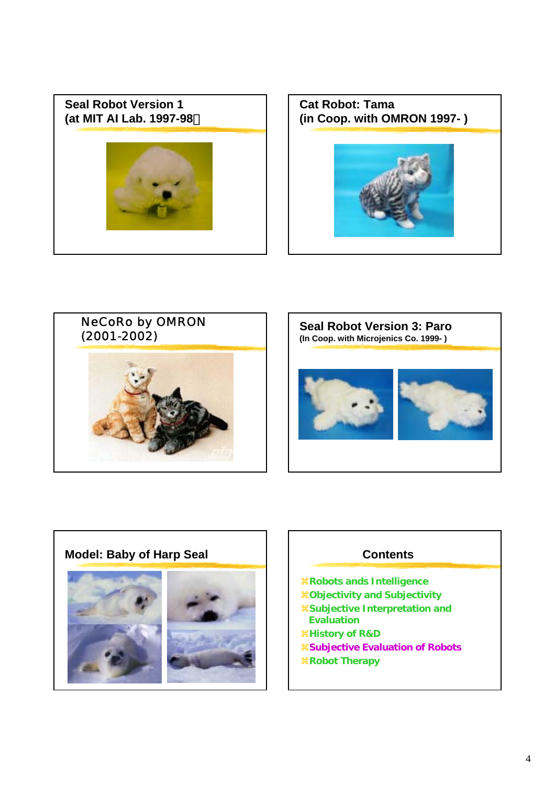

**Cat Robot: Tama (in Coop. with OMRON 1997- )**



# NeCoRo by OMRON (2001-2002)



**Seal Robot Version 3: Paro (In Coop. with Microjenics Co. 1999- )**



#### Model: Baby of Harp Seal **Noting Seal Contents**



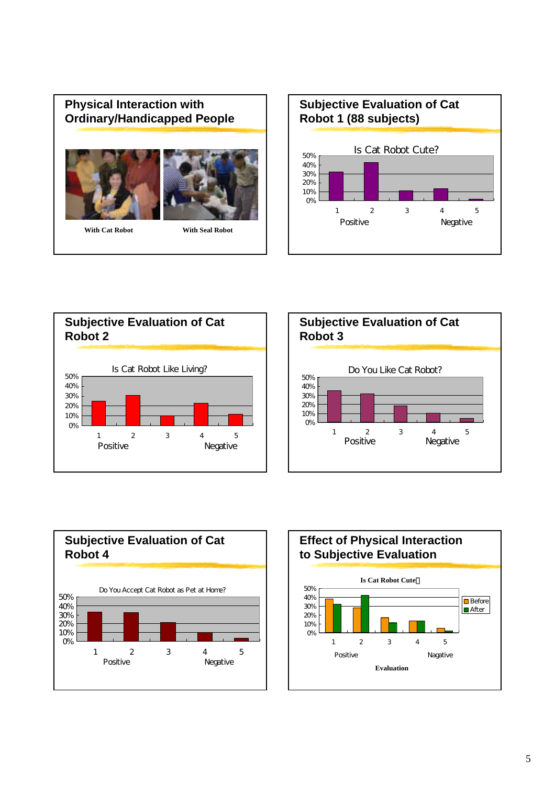#### **Physical Interaction with Ordinary/Handicapped People**



**With Cat Robot With Seal Robot**

# **Subjective Evaluation of Cat Robot 1 (88 subjects)**









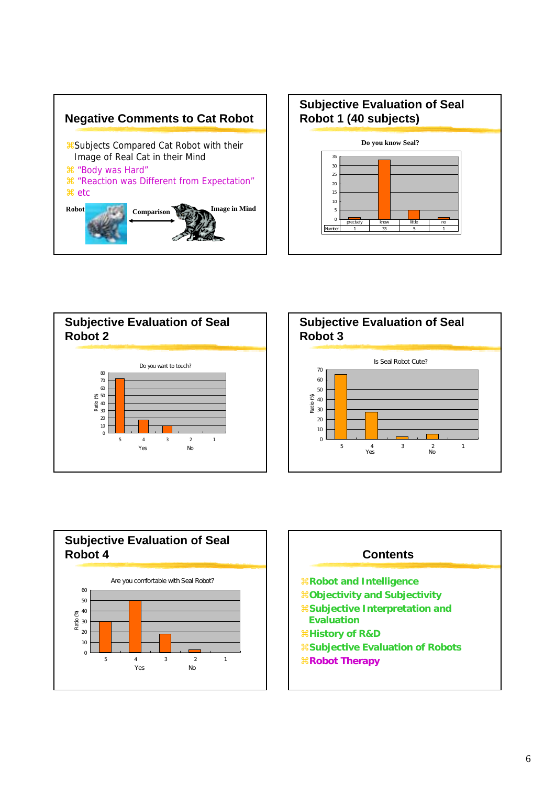

#### **Subjective Evaluation of Seal Robot 1 (40 subjects)**







**Subjective Evaluation of Seal** 



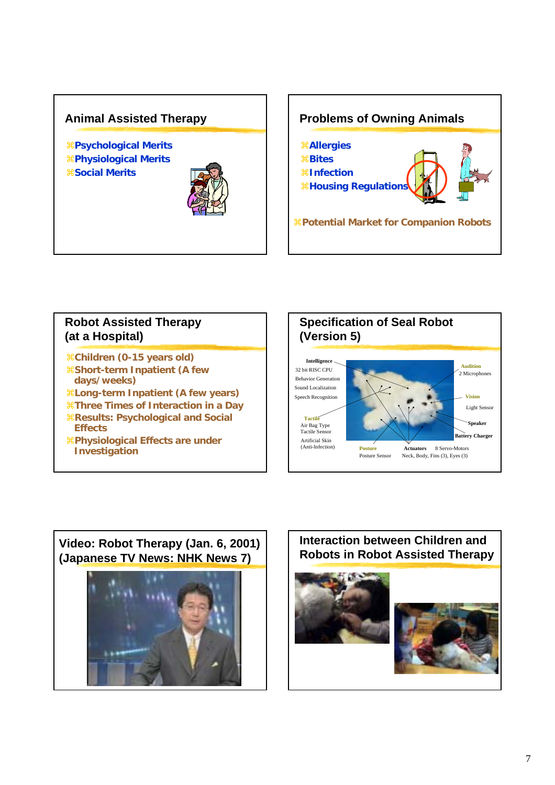#### **Animal Assisted Therapy**

a**Psychological Merits** a**Physiological Merits**  a**Social Merits**



#### **Problems of Owning Animals**



#### **Robot Assisted Therapy (at a Hospital)**

a**Children (0-15 years old)** 

- a**Short-term Inpatient (A few days/weeks)**
- a**Long-term Inpatient (A few years)**
- a**Three Times of Interaction in a Day**
- a**Results: Psychological and Social Effects**
- a**Physiological Effects are under Investigation**



#### **Video: Robot Therapy (Jan. 6, 2001) (Japanese TV News: NHK News 7)**



#### **Interaction between Children and Robots in Robot Assisted Therapy**

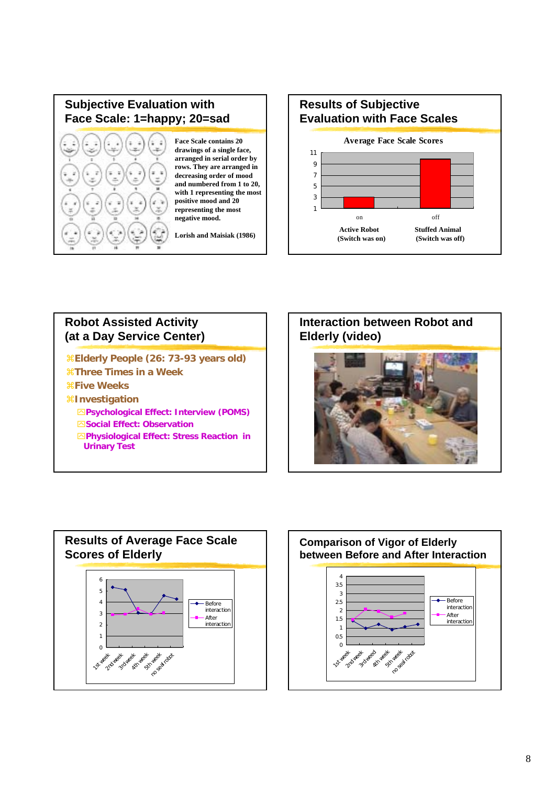#### **Subjective Evaluation with Face Scale: 1=happy; 20=sad**



**Face Scale contains 20 drawings of a single face, arranged in serial order by rows. They are arranged in decreasing order of mood and numbered from 1 to 20, with 1 representing the most positive mood and 20 representing the most negative mood.** 

**Lorish and Maisiak (1986)**

# **Results of Subjective Evaluation with Face Scales**



#### **Robot Assisted Activity (at a Day Service Center)**

a**Elderly People (26: 73-93 years old)**  a**Three Times in a Week** a**Five Weeks** a**Investigation** `**Psychological Effect: Interview (POMS)** `**Social Effect: Observation** `**Physiological Effect: Stress Reaction in Urinary Test**

## **Interaction between Robot and Elderly (video)**





#### **Comparison of Vigor of Elderly between Before and After Interaction**

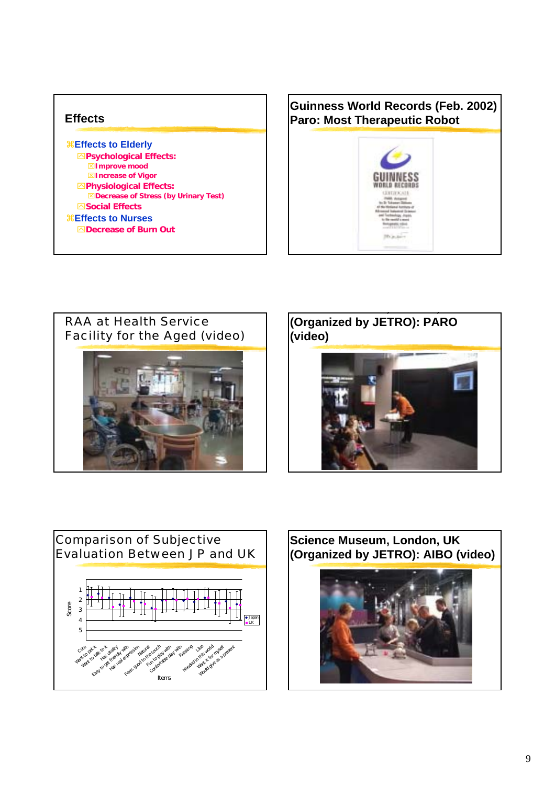| <b>Effects</b>                                  |
|-------------------------------------------------|
| <b><i>\</i>\</b> Effects to Elderly             |
| <b>⊠Psychological Effects:</b>                  |
| ⊠Improve mood                                   |
| ⊠Increase of Vigor                              |
| <b>⊠Physiological Effects:</b>                  |
| <b>⊠Decrease of Stress (by Urinary Test)</b>    |
| <b>⊠Social Effects</b>                          |
| <b><i><u><b>\</b></u></i></b> Effects to Nurses |
| <b>△Decrease of Burn Out</b>                    |
|                                                 |



# RAA at Health Service Facility for the Aged (video)



#### **, , (Organized by JETRO): PARO (video)**





#### **Science Museum, London, UK (Organized by JETRO): AIBO (video)**